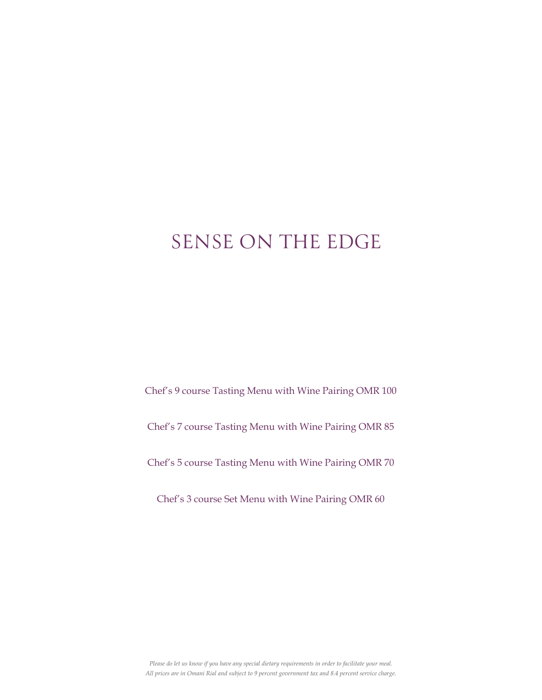# SENSE ON THE EDGE

Chef's 9 course Tasting Menu with Wine Pairing OMR 100

Chef's 7 course Tasting Menu with Wine Pairing OMR 85

Chef's 5 course Tasting Menu with Wine Pairing OMR 70

Chef's 3 course Set Menu with Wine Pairing OMR 60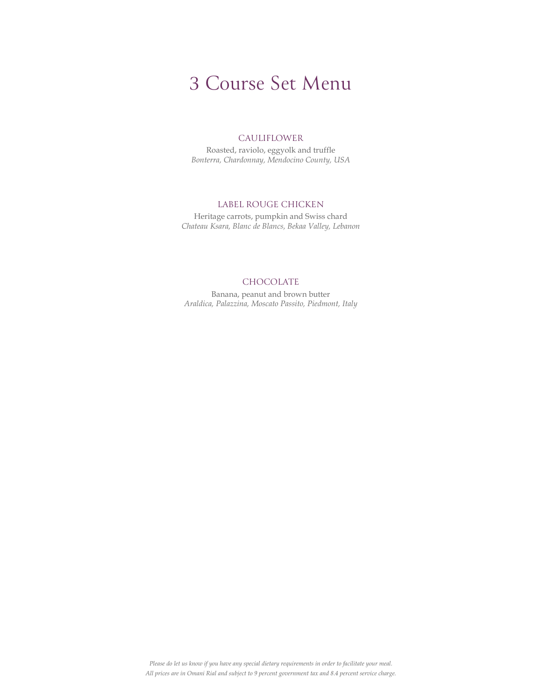### CAULIFLOWER

Roasted, raviolo, eggyolk and truffle Bonterra, Chardonnay, Mendocino County, USA

# LABEL ROUGE CHICKEN

Heritage carrots, pumpkin and Swiss chard Chateau Ksara, Blanc de Blancs, Bekaa Valley, Lebanon

# CHOCOLATE

Banana, peanut and brown butter Araldica, Palazzina, Moscato Passito, Piedmont, Italy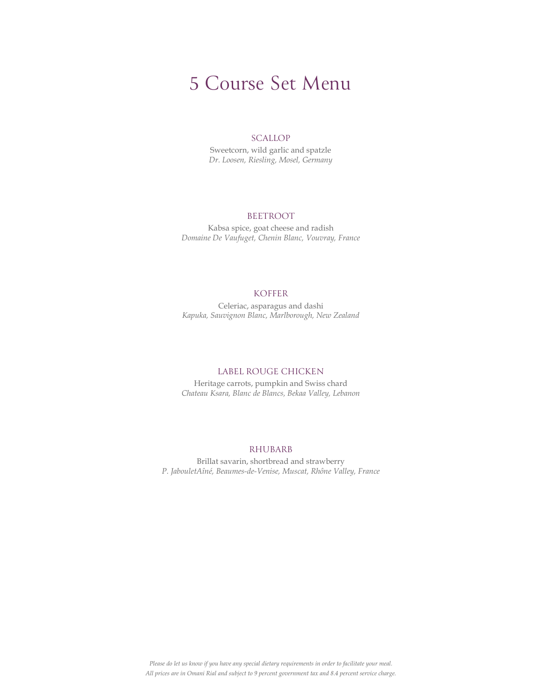# **SCALLOP**

Sweetcorn, wild garlic and spatzle Dr. Loosen, Riesling, Mosel, Germany

# BEETROOT

Kabsa spice, goat cheese and radish Domaine De Vaufuget, Chenin Blanc, Vouvray, France

# KOFFER

Celeriac, asparagus and dashi Kapuka, Sauvignon Blanc, Marlborough, New Zealand

#### LABEL ROUGE CHICKEN

Heritage carrots, pumpkin and Swiss chard Chateau Ksara, Blanc de Blancs, Bekaa Valley, Lebanon

# RHUBARB

Brillat savarin, shortbread and strawberry P. JabouletAîné, Beaumes-de-Venise, Muscat, Rhône Valley, France

Please do let us know if you have any special dietary requirements in order to facilitate your meal. All prices are in Omani Rial and subject to 9 percent government tax and 8.4 percent service charge.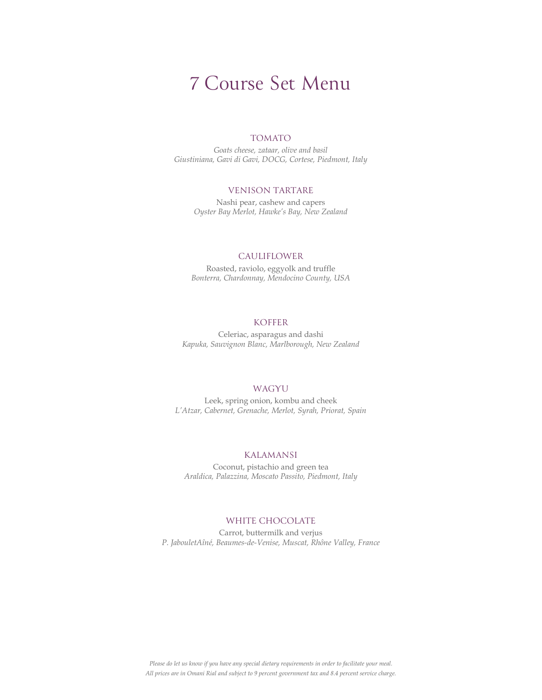# TOMATO

Goats cheese, zataar, olive and basil Giustiniana, Gavi di Gavi, DOCG, Cortese, Piedmont, Italy

# VENISON TARTARE

Nashi pear, cashew and capers Oyster Bay Merlot, Hawke's Bay, New Zealand

### CAULIFLOWER

Roasted, raviolo, eggyolk and truffle Bonterra, Chardonnay, Mendocino County, USA

# KOFFER

Celeriac, asparagus and dashi Kapuka, Sauvignon Blanc, Marlborough, New Zealand

# WAGYU

Leek, spring onion, kombu and cheek L'Atzar, Cabernet, Grenache, Merlot, Syrah, Priorat, Spain

# KALAMANSI

Coconut, pistachio and green tea Araldica, Palazzina, Moscato Passito, Piedmont, Italy

## WHITE CHOCOLATE

Carrot, buttermilk and verjus P. JabouletAîné, Beaumes-de-Venise, Muscat, Rhône Valley, France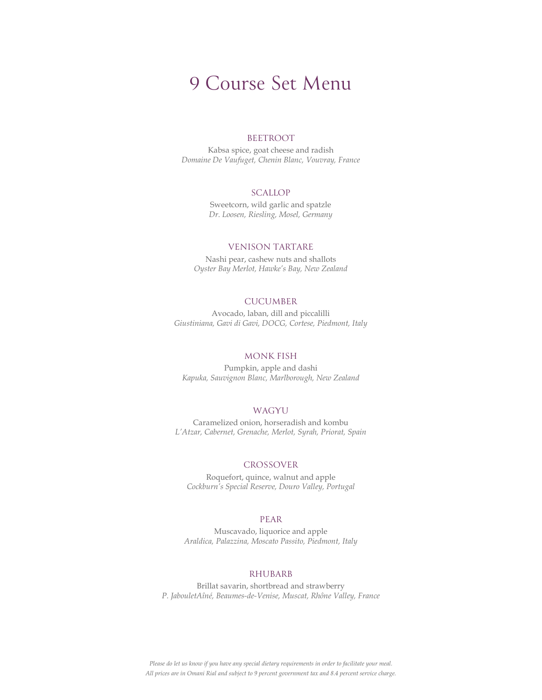#### **BEETROOT**

Kabsa spice, goat cheese and radish Domaine De Vaufuget, Chenin Blanc, Vouvray, France

## **SCALLOP**

Sweetcorn, wild garlic and spatzle Dr. Loosen, Riesling, Mosel, Germany

## VENISON TARTARE

Nashi pear, cashew nuts and shallots Oyster Bay Merlot, Hawke's Bay, New Zealand

# **CUCUMBER**

Avocado, laban, dill and piccalilli Giustiniana, Gavi di Gavi, DOCG, Cortese, Piedmont, Italy

## MONK FISH

Pumpkin, apple and dashi Kapuka, Sauvignon Blanc, Marlborough, New Zealand

## WAGYU

Caramelized onion, horseradish and kombu L'Atzar, Cabernet, Grenache, Merlot, Syrah, Priorat, Spain

#### CROSSOVER

Roquefort, quince, walnut and apple Cockburn's Special Reserve, Douro Valley, Portugal

#### PEAR

Muscavado, liquorice and apple Araldica, Palazzina, Moscato Passito, Piedmont, Italy

#### RHUBARB

Brillat savarin, shortbread and strawberry P. JabouletAîné, Beaumes-de-Venise, Muscat, Rhône Valley, France

Please do let us know if you have any special dietary requirements in order to facilitate your meal. All prices are in Omani Rial and subject to 9 percent government tax and 8.4 percent service charge.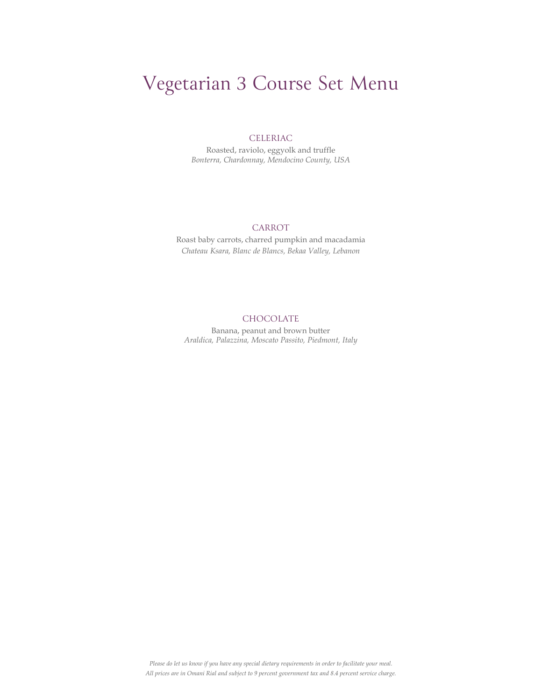# Vegetarian 3 Course Set Menu

# CELERIAC

Roasted, raviolo, eggyolk and truffle Bonterra, Chardonnay, Mendocino County, USA

# CARROT

Roast baby carrots, charred pumpkin and macadamia Chateau Ksara, Blanc de Blancs, Bekaa Valley, Lebanon

# CHOCOLATE

Banana, peanut and brown butter Araldica, Palazzina, Moscato Passito, Piedmont, Italy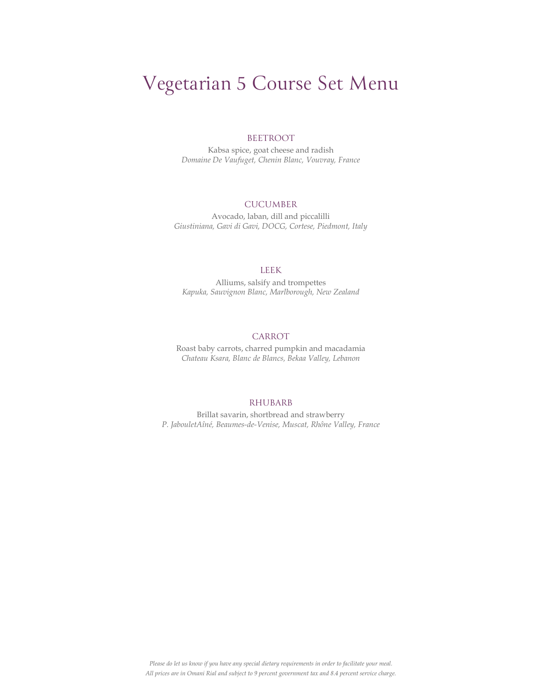# Vegetarian 5 Course Set Menu

#### BEETROOT

Kabsa spice, goat cheese and radish Domaine De Vaufuget, Chenin Blanc, Vouvray, France

# CUCUMBER

Avocado, laban, dill and piccalilli Giustiniana, Gavi di Gavi, DOCG, Cortese, Piedmont, Italy

# LEEK

Alliums, salsify and trompettes Kapuka, Sauvignon Blanc, Marlborough, New Zealand

# CARROT

Roast baby carrots, charred pumpkin and macadamia Chateau Ksara, Blanc de Blancs, Bekaa Valley, Lebanon

#### RHUBARB

Brillat savarin, shortbread and strawberry P. JabouletAîné, Beaumes-de-Venise, Muscat, Rhône Valley, France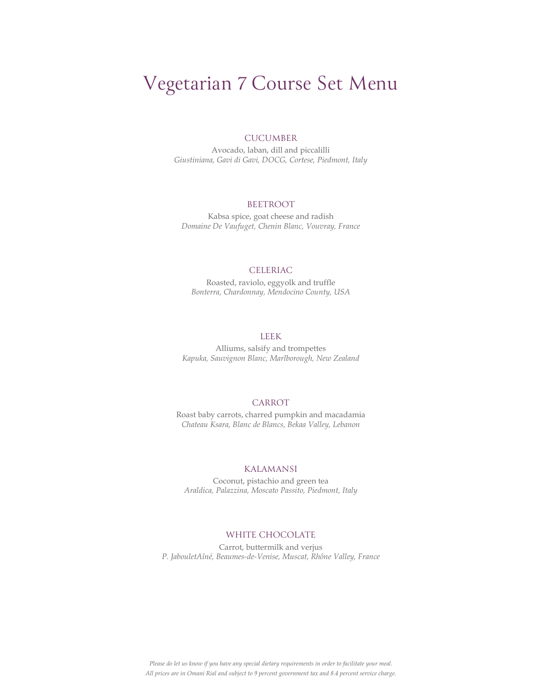# Vegetarian 7 Course Set Menu

### CUCUMBER

Avocado, laban, dill and piccalilli Giustiniana, Gavi di Gavi, DOCG, Cortese, Piedmont, Italy

#### BEETROOT

Kabsa spice, goat cheese and radish Domaine De Vaufuget, Chenin Blanc, Vouvray, France

# CELERIAC

Roasted, raviolo, eggyolk and truffle Bonterra, Chardonnay, Mendocino County, USA

# LEEK

Alliums, salsify and trompettes Kapuka, Sauvignon Blanc, Marlborough, New Zealand

## CARROT

Roast baby carrots, charred pumpkin and macadamia Chateau Ksara, Blanc de Blancs, Bekaa Valley, Lebanon

#### KALAMANSI

Coconut, pistachio and green tea Araldica, Palazzina, Moscato Passito, Piedmont, Italy

# WHITE CHOCOLATE

Carrot, buttermilk and verjus P. JabouletAîné, Beaumes-de-Venise, Muscat, Rhône Valley, France

Please do let us know if you have any special dietary requirements in order to facilitate your meal. All prices are in Omani Rial and subject to 9 percent government tax and 8.4 percent service charge.